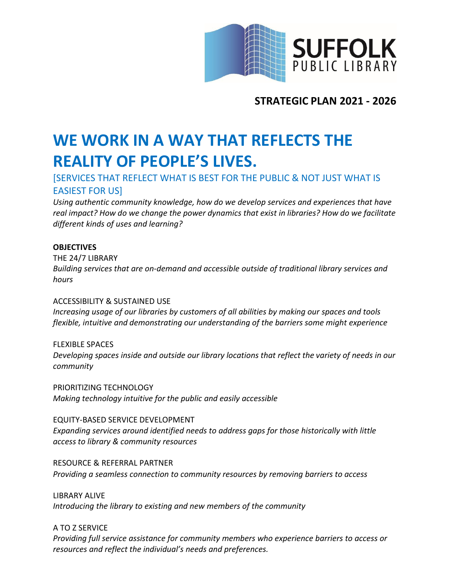

**STRATEGIC PLAN 2021 - 2026**

# **WE WORK IN A WAY THAT REFLECTS THE REALITY OF PEOPLE'S LIVES.**

## [SERVICES THAT REFLECT WHAT IS BEST FOR THE PUBLIC & NOT JUST WHAT IS EASIEST FOR US]

*Using authentic community knowledge, how do we develop services and experiences that have real impact? How do we change the power dynamics that exist in libraries? How do we facilitate different kinds of uses and learning?*

#### **OBJECTIVES**

THE 24/7 LIBRARY *Building services that are on-demand and accessible outside of traditional library services and hours*

#### ACCESSIBILITY & SUSTAINED USE

*Increasing usage of our libraries by customers of all abilities by making our spaces and tools flexible, intuitive and demonstrating our understanding of the barriers some might experience*

FLEXIBLE SPACES *Developing spaces inside and outside our library locations that reflect the variety of needs in our community*

PRIORITIZING TECHNOLOGY *Making technology intuitive for the public and easily accessible*

EQUITY-BASED SERVICE DEVELOPMENT *Expanding services around identified needs to address gaps for those historically with little access to library & community resources*

RESOURCE & REFERRAL PARTNER *Providing a seamless connection to community resources by removing barriers to access*

LIBRARY ALIVE *Introducing the library to existing and new members of the community*

A TO Z SERVICE

*Providing full service assistance for community members who experience barriers to access or resources and reflect the individual's needs and preferences.*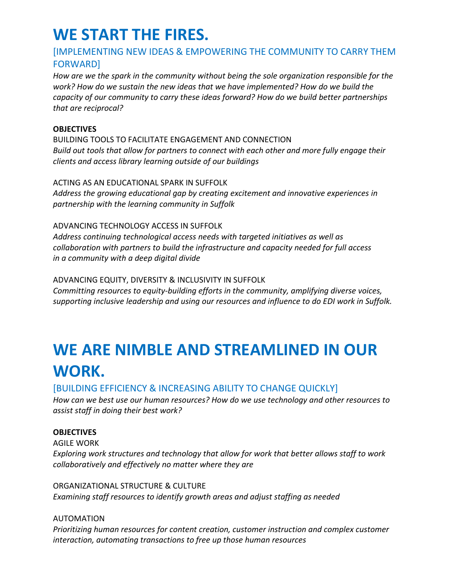# **WE START THE FIRES.**

## [IMPLEMENTING NEW IDEAS & EMPOWERING THE COMMUNITY TO CARRY THEM FORWARD]

*How are we the spark in the community without being the sole organization responsible for the work? How do we sustain the new ideas that we have implemented? How do we build the capacity of our community to carry these ideas forward? How do we build better partnerships that are reciprocal?*

#### **OBJECTIVES**

BUILDING TOOLS TO FACILITATE ENGAGEMENT AND CONNECTION *Build out tools that allow for partners to connect with each other and more fully engage their clients and access library learning outside of our buildings*

#### ACTING AS AN EDUCATIONAL SPARK IN SUFFOLK

*Address the growing educational gap by creating excitement and innovative experiences in partnership with the learning community in Suffolk*

#### ADVANCING TECHNOLOGY ACCESS IN SUFFOLK

*Address continuing technological access needs with targeted initiatives as well as collaboration with partners to build the infrastructure and capacity needed for full access in a community with a deep digital divide*

#### ADVANCING EQUITY, DIVERSITY & INCLUSIVITY IN SUFFOLK

*Committing resources to equity-building efforts in the community, amplifying diverse voices, supporting inclusive leadership and using our resources and influence to do EDI work in Suffolk.* 

# **WE ARE NIMBLE AND STREAMLINED IN OUR WORK.**

### [BUILDING EFFICIENCY & INCREASING ABILITY TO CHANGE QUICKLY]

*How can we best use our human resources? How do we use technology and other resources to assist staff in doing their best work?*

#### **OBJECTIVES**

AGILE WORK *Exploring work structures and technology that allow for work that better allows staff to work collaboratively and effectively no matter where they are*

#### ORGANIZATIONAL STRUCTURE & CULTURE *Examining staff resources to identify growth areas and adjust staffing as needed*

#### AUTOMATION

*Prioritizing human resources for content creation, customer instruction and complex customer interaction, automating transactions to free up those human resources*